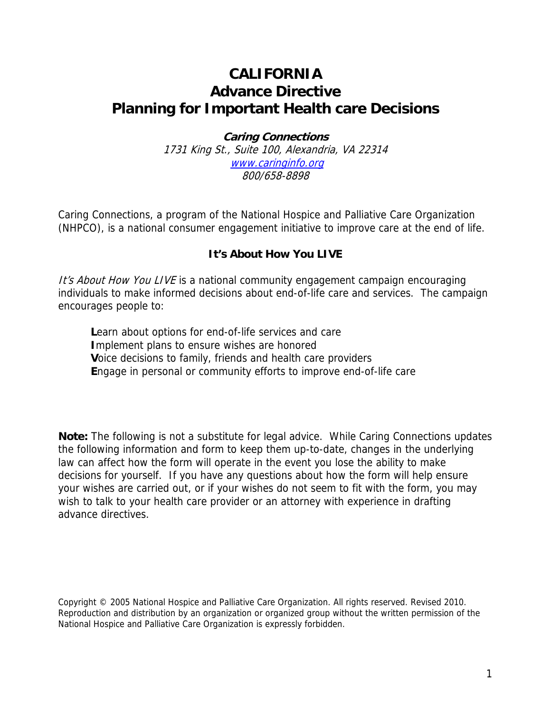# **CALIFORNIA Advance Directive Planning for Important Health care Decisions**

**Caring Connections**  1731 King St., Suite 100, Alexandria, VA 22314 www.caringinfo.org 800/658-8898

Caring Connections, a program of the National Hospice and Palliative Care Organization (NHPCO), is a national consumer engagement initiative to improve care at the end of life.

#### **It's About How You LIVE**

It's About How You LIVE is a national community engagement campaign encouraging individuals to make informed decisions about end-of-life care and services. The campaign encourages people to:

**L**earn about options for end-of-life services and care **I**mplement plans to ensure wishes are honored **V**oice decisions to family, friends and health care providers **E**ngage in personal or community efforts to improve end-of-life care

**Note:** The following is not a substitute for legal advice. While Caring Connections updates the following information and form to keep them up-to-date, changes in the underlying law can affect how the form will operate in the event you lose the ability to make decisions for yourself. If you have any questions about how the form will help ensure your wishes are carried out, or if your wishes do not seem to fit with the form, you may wish to talk to your health care provider or an attorney with experience in drafting advance directives.

Copyright © 2005 National Hospice and Palliative Care Organization. All rights reserved. Revised 2010. Reproduction and distribution by an organization or organized group without the written permission of the National Hospice and Palliative Care Organization is expressly forbidden.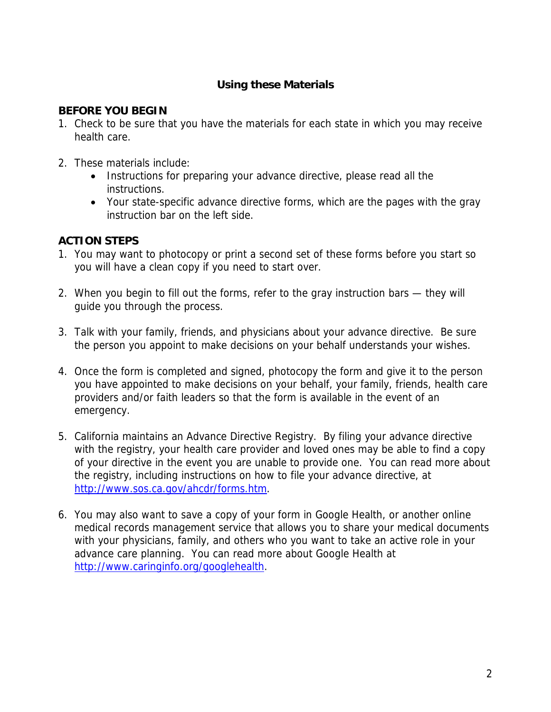## **Using these Materials**

#### **BEFORE YOU BEGIN**

- 1. Check to be sure that you have the materials for each state in which you may receive health care.
- 2. These materials include:
	- Instructions for preparing your advance directive, please read all the instructions.
	- Your state-specific advance directive forms, which are the pages with the gray instruction bar on the left side.

## **ACTION STEPS**

- 1. You may want to photocopy or print a second set of these forms before you start so you will have a clean copy if you need to start over.
- 2. When you begin to fill out the forms, refer to the gray instruction bars they will guide you through the process.
- 3. Talk with your family, friends, and physicians about your advance directive. Be sure the person you appoint to make decisions on your behalf understands your wishes.
- 4. Once the form is completed and signed, photocopy the form and give it to the person you have appointed to make decisions on your behalf, your family, friends, health care providers and/or faith leaders so that the form is available in the event of an emergency.
- 5. California maintains an Advance Directive Registry. By filing your advance directive with the registry, your health care provider and loved ones may be able to find a copy of your directive in the event you are unable to provide one. You can read more about the registry, including instructions on how to file your advance directive, at http://www.sos.ca.gov/ahcdr/forms.htm.
- 6. You may also want to save a copy of your form in Google Health, or another online medical records management service that allows you to share your medical documents with your physicians, family, and others who you want to take an active role in your advance care planning. You can read more about Google Health at http://www.caringinfo.org/googlehealth.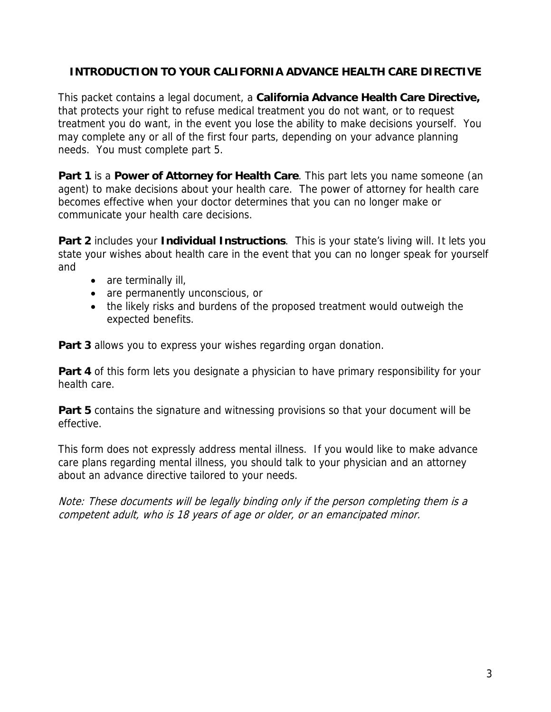## **INTRODUCTION TO YOUR CALIFORNIA ADVANCE HEALTH CARE DIRECTIVE**

This packet contains a legal document, a **California Advance Health Care Directive,** that protects your right to refuse medical treatment you do not want, or to request treatment you do want, in the event you lose the ability to make decisions yourself. You may complete any or all of the first four parts, depending on your advance planning needs. You must complete part 5.

**Part 1** is a **Power of Attorney for Health Care**. This part lets you name someone (an agent) to make decisions about your health care. The power of attorney for health care becomes effective when your doctor determines that you can no longer make or communicate your health care decisions.

**Part 2** includes your **Individual Instructions**. This is your state's living will. It lets you state your wishes about health care in the event that you can no longer speak for yourself and

- are terminally ill,
- are permanently unconscious, or
- the likely risks and burdens of the proposed treatment would outweigh the expected benefits.

**Part 3** allows you to express your wishes regarding organ donation.

**Part 4** of this form lets you designate a physician to have primary responsibility for your health care.

Part 5 contains the signature and witnessing provisions so that your document will be effective.

This form does not expressly address mental illness. If you would like to make advance care plans regarding mental illness, you should talk to your physician and an attorney about an advance directive tailored to your needs.

Note: These documents will be legally binding only if the person completing them is a competent adult, who is 18 years of age or older, or an emancipated minor.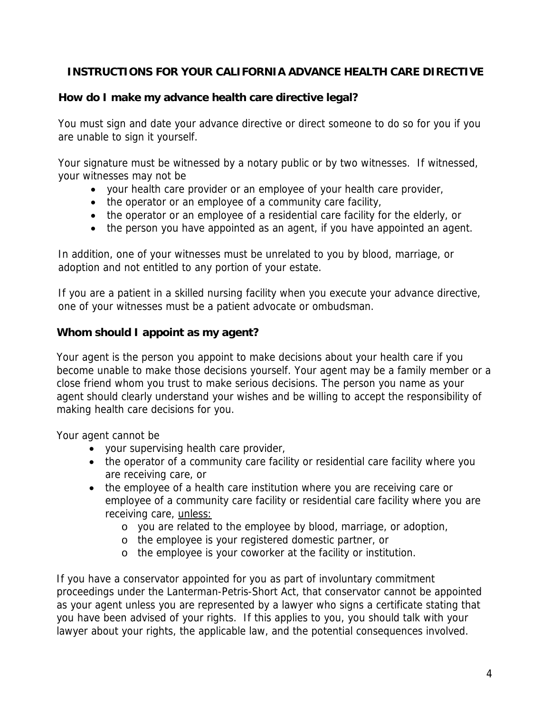## **INSTRUCTIONS FOR YOUR CALIFORNIA ADVANCE HEALTH CARE DIRECTIVE**

#### **How do I make my advance health care directive legal?**

You must sign and date your advance directive or direct someone to do so for you if you are unable to sign it yourself.

Your signature must be witnessed by a notary public or by two witnesses. If witnessed, your witnesses may not be

- your health care provider or an employee of your health care provider,
- the operator or an employee of a community care facility,
- the operator or an employee of a residential care facility for the elderly, or
- the person you have appointed as an agent, if you have appointed an agent.

In addition, one of your witnesses must be unrelated to you by blood, marriage, or adoption and not entitled to any portion of your estate.

If you are a patient in a skilled nursing facility when you execute your advance directive, one of your witnesses must be a patient advocate or ombudsman.

## **Whom should I appoint as my agent?**

Your agent is the person you appoint to make decisions about your health care if you become unable to make those decisions yourself. Your agent may be a family member or a close friend whom you trust to make serious decisions. The person you name as your agent should clearly understand your wishes and be willing to accept the responsibility of making health care decisions for you.

Your agent cannot be

- your supervising health care provider,
- the operator of a community care facility or residential care facility where you are receiving care, or
- the employee of a health care institution where you are receiving care or employee of a community care facility or residential care facility where you are receiving care, unless:
	- o you are related to the employee by blood, marriage, or adoption,
	- o the employee is your registered domestic partner, or
	- o the employee is your coworker at the facility or institution.

If you have a conservator appointed for you as part of involuntary commitment proceedings under the Lanterman-Petris-Short Act, that conservator cannot be appointed as your agent unless you are represented by a lawyer who signs a certificate stating that you have been advised of your rights. If this applies to you, you should talk with your lawyer about your rights, the applicable law, and the potential consequences involved.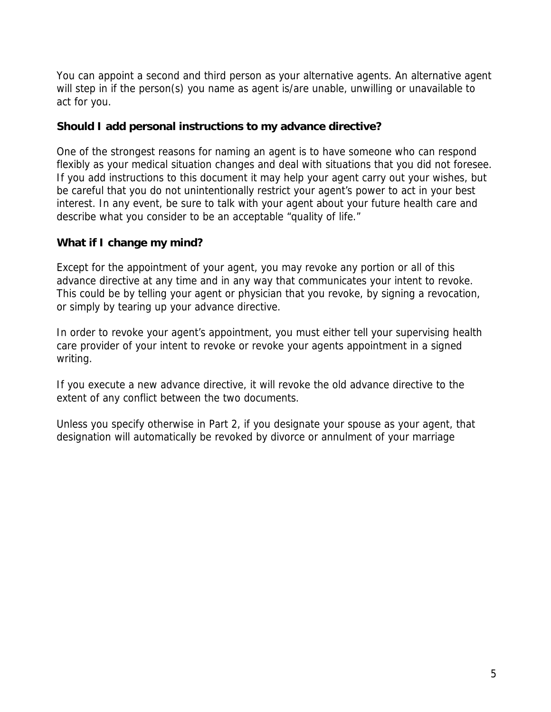You can appoint a second and third person as your alternative agents. An alternative agent will step in if the person(s) you name as agent is/are unable, unwilling or unavailable to act for you.

#### **Should I add personal instructions to my advance directive?**

One of the strongest reasons for naming an agent is to have someone who can respond flexibly as your medical situation changes and deal with situations that you did not foresee. If you add instructions to this document it may help your agent carry out your wishes, but be careful that you do not unintentionally restrict your agent's power to act in your best interest. In any event, be sure to talk with your agent about your future health care and describe what you consider to be an acceptable "quality of life."

#### **What if I change my mind?**

Except for the appointment of your agent, you may revoke any portion or all of this advance directive at any time and in any way that communicates your intent to revoke. This could be by telling your agent or physician that you revoke, by signing a revocation, or simply by tearing up your advance directive.

In order to revoke your agent's appointment, you must either tell your supervising health care provider of your intent to revoke or revoke your agents appointment in a signed writing.

If you execute a new advance directive, it will revoke the old advance directive to the extent of any conflict between the two documents.

Unless you specify otherwise in Part 2, if you designate your spouse as your agent, that designation will automatically be revoked by divorce or annulment of your marriage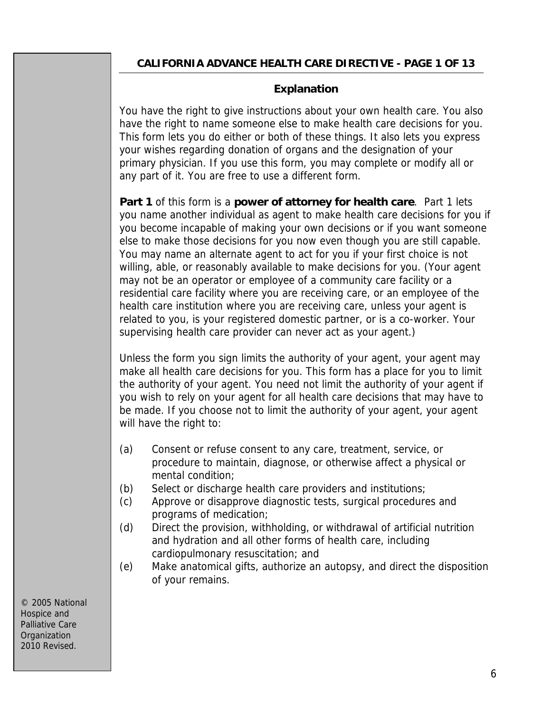## **CALIFORNIA ADVANCE HEALTH CARE DIRECTIVE - PAGE 1 OF 13**

#### **Explanation**

You have the right to give instructions about your own health care. You also have the right to name someone else to make health care decisions for you. This form lets you do either or both of these things. It also lets you express your wishes regarding donation of organs and the designation of your primary physician. If you use this form, you may complete or modify all or any part of it. You are free to use a different form.

**Part 1** of this form is a **power of attorney for health care**. Part 1 lets you name another individual as agent to make health care decisions for you if you become incapable of making your own decisions or if you want someone else to make those decisions for you now even though you are still capable. You may name an alternate agent to act for you if your first choice is not willing, able, or reasonably available to make decisions for you. (Your agent may not be an operator or employee of a community care facility or a residential care facility where you are receiving care, or an employee of the health care institution where you are receiving care, unless your agent is related to you, is your registered domestic partner, or is a co-worker. Your supervising health care provider can never act as your agent.)

Unless the form you sign limits the authority of your agent, your agent may make all health care decisions for you. This form has a place for you to limit the authority of your agent. You need not limit the authority of your agent if you wish to rely on your agent for all health care decisions that may have to be made. If you choose not to limit the authority of your agent, your agent will have the right to:

- (a) Consent or refuse consent to any care, treatment, service, or procedure to maintain, diagnose, or otherwise affect a physical or mental condition;
- (b) Select or discharge health care providers and institutions;
- (c) Approve or disapprove diagnostic tests, surgical procedures and programs of medication;
- (d) Direct the provision, withholding, or withdrawal of artificial nutrition and hydration and all other forms of health care, including cardiopulmonary resuscitation; and
- (e) Make anatomical gifts, authorize an autopsy, and direct the disposition of your remains.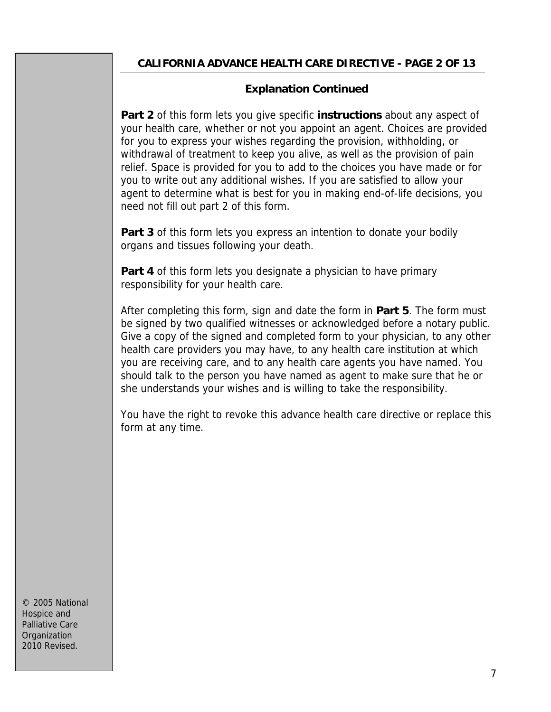## **CALIFORNIA ADVANCE HEALTH CARE DIRECTIVE - PAGE 2 OF 13**

#### **Explanation Continued**

**Part 2** of this form lets you give specific **instructions** about any aspect of your health care, whether or not you appoint an agent. Choices are provided for you to express your wishes regarding the provision, withholding, or withdrawal of treatment to keep you alive, as well as the provision of pain relief. Space is provided for you to add to the choices you have made or for you to write out any additional wishes. If you are satisfied to allow your agent to determine what is best for you in making end-of-life decisions, you need not fill out part 2 of this form.

**Part 3** of this form lets you express an intention to donate your bodily organs and tissues following your death.

**Part 4** of this form lets you designate a physician to have primary responsibility for your health care.

After completing this form, sign and date the form in **Part 5**. The form must be signed by two qualified witnesses or acknowledged before a notary public. Give a copy of the signed and completed form to your physician, to any other health care providers you may have, to any health care institution at which you are receiving care, and to any health care agents you have named. You should talk to the person you have named as agent to make sure that he or she understands your wishes and is willing to take the responsibility.

You have the right to revoke this advance health care directive or replace this form at any time.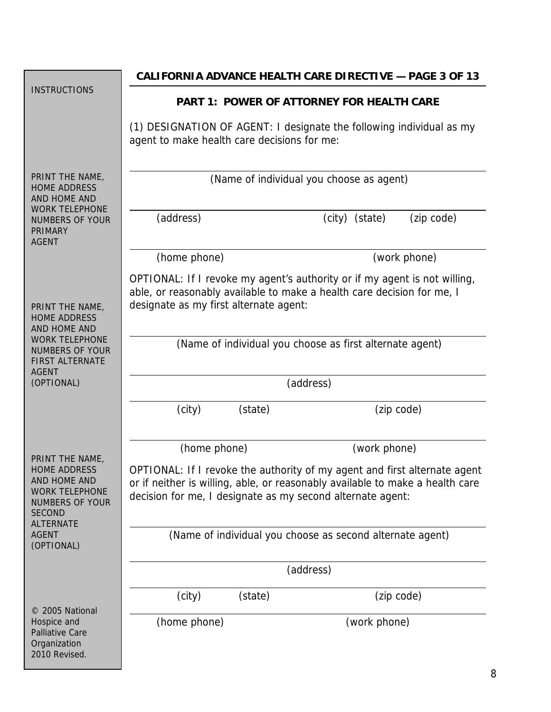|                                                                                                         | <b>CALIFORNIA ADVANCE HEALTH CARE DIRECTIVE - PAGE 3 OF 13</b>                                                                                                                                                           |         |                |              |
|---------------------------------------------------------------------------------------------------------|--------------------------------------------------------------------------------------------------------------------------------------------------------------------------------------------------------------------------|---------|----------------|--------------|
| <b>INSTRUCTIONS</b>                                                                                     | <b>PART 1: POWER OF ATTORNEY FOR HEALTH CARE</b>                                                                                                                                                                         |         |                |              |
|                                                                                                         | (1) DESIGNATION OF AGENT: I designate the following individual as my<br>agent to make health care decisions for me:                                                                                                      |         |                |              |
| PRINT THE NAME,<br><b>HOME ADDRESS</b><br>AND HOME AND<br><b>WORK TELEPHONE</b>                         | (Name of individual you choose as agent)                                                                                                                                                                                 |         |                |              |
| <b>NUMBERS OF YOUR</b><br><b>PRIMARY</b><br><b>AGENT</b>                                                | (address)                                                                                                                                                                                                                |         | (city) (state) | (zip code)   |
|                                                                                                         | (home phone)                                                                                                                                                                                                             |         |                | (work phone) |
| PRINT THE NAME,<br><b>HOME ADDRESS</b><br>AND HOME AND                                                  | OPTIONAL: If I revoke my agent's authority or if my agent is not willing,<br>able, or reasonably available to make a health care decision for me, I<br>designate as my first alternate agent:                            |         |                |              |
| <b>WORK TELEPHONE</b><br><b>NUMBERS OF YOUR</b><br><b>FIRST ALTERNATE</b><br><b>AGENT</b>               | (Name of individual you choose as first alternate agent)                                                                                                                                                                 |         |                |              |
| (OPTIONAL)                                                                                              | (address)                                                                                                                                                                                                                |         |                |              |
|                                                                                                         | (city)                                                                                                                                                                                                                   | (state) |                | (zip code)   |
| PRINT THE NAME,                                                                                         | (home phone)                                                                                                                                                                                                             |         | (work phone)   |              |
| <b>HOME ADDRESS</b><br>AND HOME AND<br><b>WORK TELEPHONE</b><br><b>NUMBERS OF YOUR</b><br><b>SECOND</b> | OPTIONAL: If I revoke the authority of my agent and first alternate agent<br>or if neither is willing, able, or reasonably available to make a health care<br>decision for me, I designate as my second alternate agent: |         |                |              |
| <b>ALTERNATE</b><br><b>AGENT</b><br>(OPTIONAL)                                                          | (Name of individual you choose as second alternate agent)                                                                                                                                                                |         |                |              |
|                                                                                                         | (address)                                                                                                                                                                                                                |         |                |              |
|                                                                                                         | (city)                                                                                                                                                                                                                   | (state) |                | (zip code)   |
| © 2005 National<br>Hospice and<br><b>Palliative Care</b><br>Organization<br>2010 Revised.               | (home phone)                                                                                                                                                                                                             |         | (work phone)   |              |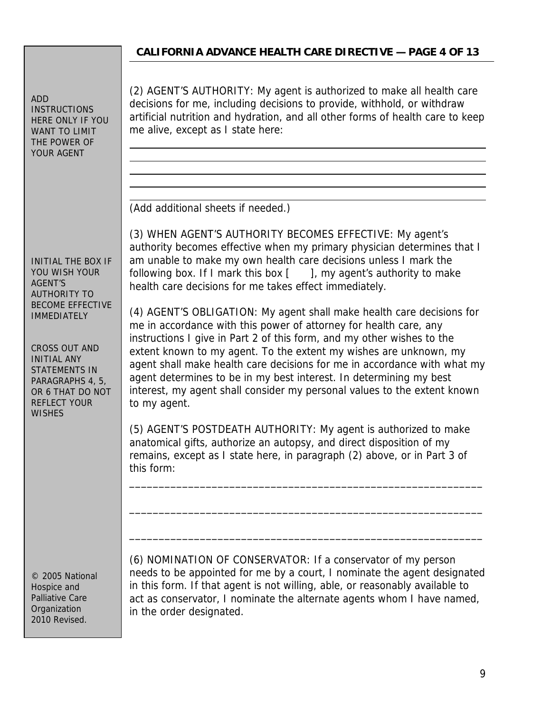#### **CALIFORNIA ADVANCE HEALTH CARE DIRECTIVE — PAGE 4 OF 13**

ADD **INSTRUCTIONS** HERE ONLY IF YOU WANT TO LIMIT THE POWER OF YOUR AGENT

INITIAL THE BOX IF YOU WISH YOUR

AUTHORITY TO BECOME EFFECTIVE IMMEDIATELY

CROSS OUT AND INITIAL ANY STATEMENTS IN PARAGRAPHS 4, 5, OR 6 THAT DO NOT REFLECT YOUR

AGENT'S

**WISHES** 

l L

(2) AGENT'S AUTHORITY: My agent is authorized to make all health care decisions for me, including decisions to provide, withhold, or withdraw artificial nutrition and hydration, and all other forms of health care to keep me alive, except as I state here:

(Add additional sheets if needed.)

(3) WHEN AGENT'S AUTHORITY BECOMES EFFECTIVE: My agent's authority becomes effective when my primary physician determines that I am unable to make my own health care decisions unless I mark the following box. If I mark this box  $\begin{bmatrix} 1 \\ 1 \end{bmatrix}$ , my agent's authority to make health care decisions for me takes effect immediately.

(4) AGENT'S OBLIGATION: My agent shall make health care decisions for me in accordance with this power of attorney for health care, any instructions I give in Part 2 of this form, and my other wishes to the extent known to my agent. To the extent my wishes are unknown, my agent shall make health care decisions for me in accordance with what my agent determines to be in my best interest. In determining my best interest, my agent shall consider my personal values to the extent known to my agent.

(5) AGENT'S POSTDEATH AUTHORITY: My agent is authorized to make anatomical gifts, authorize an autopsy, and direct disposition of my remains, except as I state here, in paragraph (2) above, or in Part 3 of this form:

\_\_\_\_\_\_\_\_\_\_\_\_\_\_\_\_\_\_\_\_\_\_\_\_\_\_\_\_\_\_\_\_\_\_\_\_\_\_\_\_\_\_\_\_\_\_\_\_\_\_\_\_\_\_\_\_\_\_\_\_

\_\_\_\_\_\_\_\_\_\_\_\_\_\_\_\_\_\_\_\_\_\_\_\_\_\_\_\_\_\_\_\_\_\_\_\_\_\_\_\_\_\_\_\_\_\_\_\_\_\_\_\_\_\_\_\_\_\_\_\_

\_\_\_\_\_\_\_\_\_\_\_\_\_\_\_\_\_\_\_\_\_\_\_\_\_\_\_\_\_\_\_\_\_\_\_\_\_\_\_\_\_\_\_\_\_\_\_\_\_\_\_\_\_\_\_\_\_\_\_\_

© 2005 National Hospice and Palliative Care **Organization** 2010 Revised.

(6) NOMINATION OF CONSERVATOR: If a conservator of my person needs to be appointed for me by a court, I nominate the agent designated in this form. If that agent is not willing, able, or reasonably available to act as conservator, I nominate the alternate agents whom I have named, in the order designated.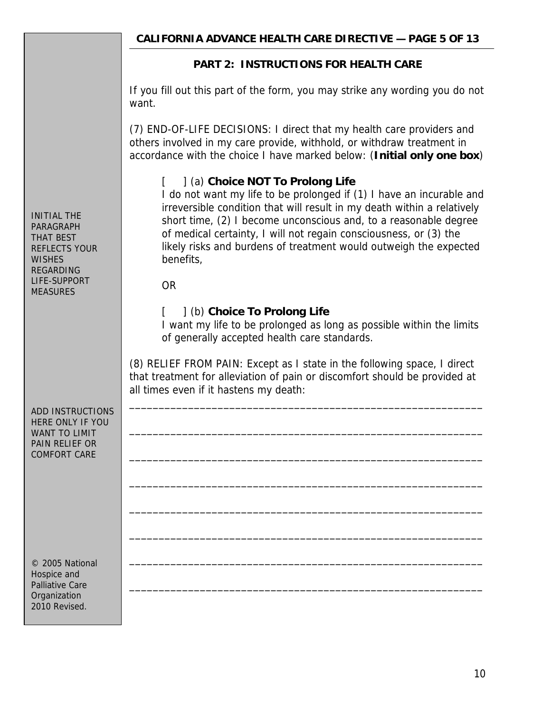## **PART 2: INSTRUCTIONS FOR HEALTH CARE**

If you fill out this part of the form, you may strike any wording you do not want.

(7) END-OF-LIFE DECISIONS: I direct that my health care providers and others involved in my care provide, withhold, or withdraw treatment in accordance with the choice I have marked below: (**Initial only one box**)

[ ] (a) **Choice NOT To Prolong Life**

I do not want my life to be prolonged if (1) I have an incurable and irreversible condition that will result in my death within a relatively short time, (2) I become unconscious and, to a reasonable degree of medical certainty, I will not regain consciousness, or (3) the likely risks and burdens of treatment would outweigh the expected benefits,

OR

[ ] (b) **Choice To Prolong Life**

I want my life to be prolonged as long as possible within the limits of generally accepted health care standards.

(8) RELIEF FROM PAIN: Except as I state in the following space, I direct that treatment for alleviation of pain or discomfort should be provided at all times even if it hastens my death:

\_\_\_\_\_\_\_\_\_\_\_\_\_\_\_\_\_\_\_\_\_\_\_\_\_\_\_\_\_\_\_\_\_\_\_\_\_\_\_\_\_\_\_\_\_\_\_\_\_\_\_\_\_\_\_\_\_\_\_\_

\_\_\_\_\_\_\_\_\_\_\_\_\_\_\_\_\_\_\_\_\_\_\_\_\_\_\_\_\_\_\_\_\_\_\_\_\_\_\_\_\_\_\_\_\_\_\_\_\_\_\_\_\_\_\_\_\_\_\_\_

\_\_\_\_\_\_\_\_\_\_\_\_\_\_\_\_\_\_\_\_\_\_\_\_\_\_\_\_\_\_\_\_\_\_\_\_\_\_\_\_\_\_\_\_\_\_\_\_\_\_\_\_\_\_\_\_\_\_\_\_

\_\_\_\_\_\_\_\_\_\_\_\_\_\_\_\_\_\_\_\_\_\_\_\_\_\_\_\_\_\_\_\_\_\_\_\_\_\_\_\_\_\_\_\_\_\_\_\_\_\_\_\_\_\_\_\_\_\_\_\_

\_\_\_\_\_\_\_\_\_\_\_\_\_\_\_\_\_\_\_\_\_\_\_\_\_\_\_\_\_\_\_\_\_\_\_\_\_\_\_\_\_\_\_\_\_\_\_\_\_\_\_\_\_\_\_\_\_\_\_\_

\_\_\_\_\_\_\_\_\_\_\_\_\_\_\_\_\_\_\_\_\_\_\_\_\_\_\_\_\_\_\_\_\_\_\_\_\_\_\_\_\_\_\_\_\_\_\_\_\_\_\_\_\_\_\_\_\_\_\_\_

\_\_\_\_\_\_\_\_\_\_\_\_\_\_\_\_\_\_\_\_\_\_\_\_\_\_\_\_\_\_\_\_\_\_\_\_\_\_\_\_\_\_\_\_\_\_\_\_\_\_\_\_\_\_\_\_\_\_\_\_

\_\_\_\_\_\_\_\_\_\_\_\_\_\_\_\_\_\_\_\_\_\_\_\_\_\_\_\_\_\_\_\_\_\_\_\_\_\_\_\_\_\_\_\_\_\_\_\_\_\_\_\_\_\_\_\_\_\_\_\_

ADD INSTRUCTIONS HERE ONLY IF YOU WANT TO LIMIT PAIN RELIEF OR COMFORT CARE

INITIAL THE PARAGRAPH THAT BEST REFLECTS YOUR

**WISHES** REGARDING LIFE-SUPPORT MEASURES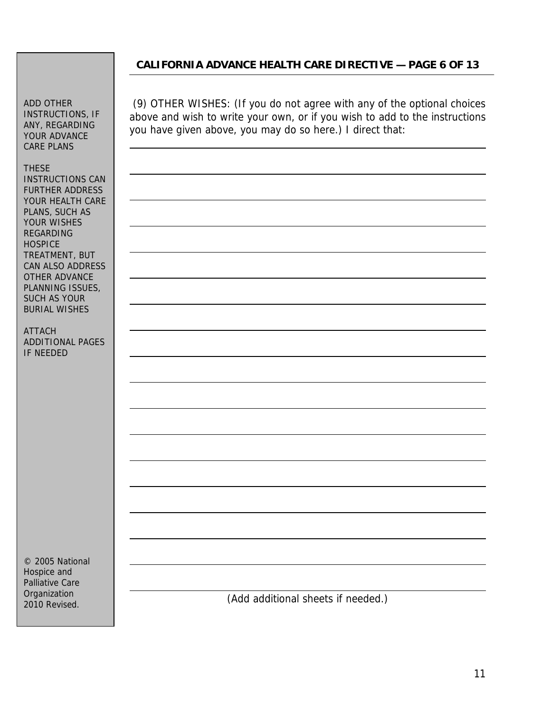## **CALIFORNIA ADVANCE HEALTH CARE DIRECTIVE — PAGE 6 OF 13**

ADD OTHER INSTRUCTIONS, IF ANY, REGARDING YOUR ADVANCE CARE PLANS

l

L

THESE INSTRUCTIONS CAN FURTHER ADDRESS YOUR HEALTH CARE PLANS, SUCH AS YOUR WISHES REGARDING **HOSPICE** TREATMENT, BUT CAN ALSO ADDRESS OTHER ADVANCE PLANNING ISSUES, SUCH AS YOUR BURIAL WISHES

ATTACH ADDITIONAL PAGES IF NEEDED

© 2005 National Hospice and Palliative Care **Organization** 2010 Revised.

 (9) OTHER WISHES: (If you do not agree with any of the optional choices above and wish to write your own, or if you wish to add to the instructions you have given above, you may do so here.) I direct that:

(Add additional sheets if needed.)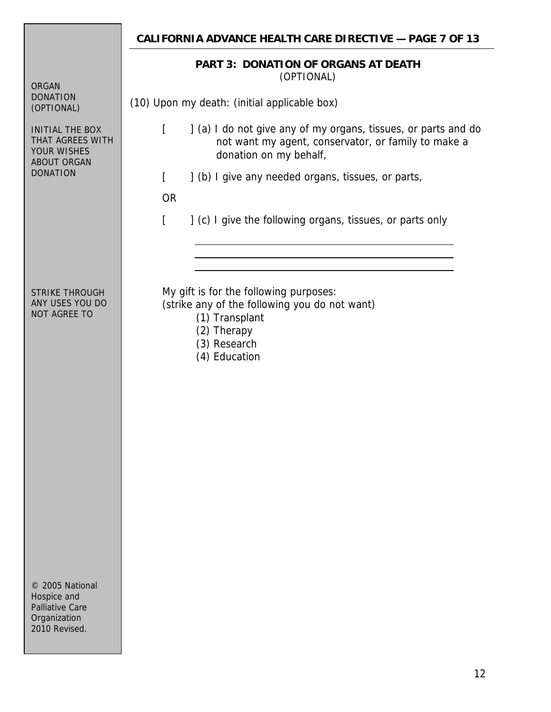|                                                                                           | CALIFORNIA ADVANCE HEALTH CARE DIRECTIVE - PAGE 7 OF 13                                                                                                     |  |  |
|-------------------------------------------------------------------------------------------|-------------------------------------------------------------------------------------------------------------------------------------------------------------|--|--|
|                                                                                           | <b>PART 3: DONATION OF ORGANS AT DEATH</b><br>(OPTIONAL)                                                                                                    |  |  |
| <b>ORGAN</b><br><b>DONATION</b><br>(OPTIONAL)                                             | (10) Upon my death: (initial applicable box)                                                                                                                |  |  |
| <b>INITIAL THE BOX</b><br>THAT AGREES WITH<br><b>YOUR WISHES</b>                          | $\Gamma$<br>] (a) I do not give any of my organs, tissues, or parts and do<br>not want my agent, conservator, or family to make a<br>donation on my behalf, |  |  |
| <b>ABOUT ORGAN</b><br><b>DONATION</b>                                                     | $\Gamma$<br>[b] I give any needed organs, tissues, or parts,                                                                                                |  |  |
|                                                                                           | <b>OR</b>                                                                                                                                                   |  |  |
|                                                                                           | $\Gamma$<br>] (c) I give the following organs, tissues, or parts only                                                                                       |  |  |
|                                                                                           |                                                                                                                                                             |  |  |
|                                                                                           |                                                                                                                                                             |  |  |
| <b>STRIKE THROUGH</b><br>ANY USES YOU DO<br>NOT AGREE TO                                  | My gift is for the following purposes:<br>(strike any of the following you do not want)<br>(1) Transplant<br>(2) Therapy<br>(3) Research<br>(4) Education   |  |  |
| © 2005 National<br>Hospice and<br><b>Palliative Care</b><br>Organization<br>2010 Revised. |                                                                                                                                                             |  |  |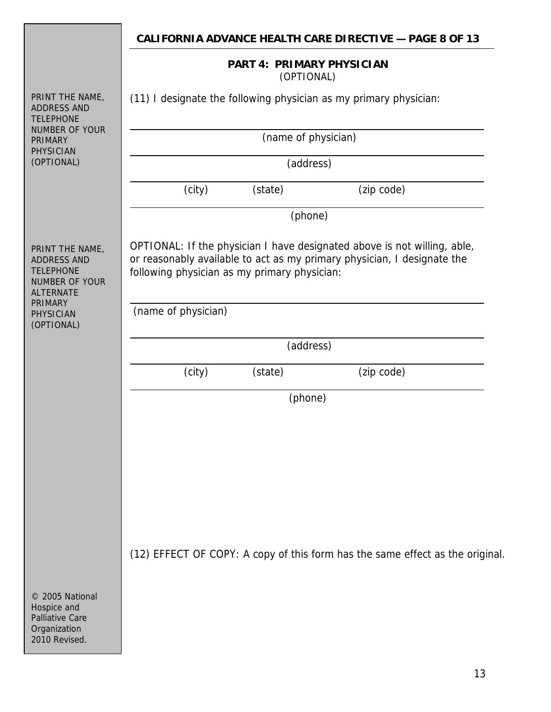|                                                                                                        |                                                                   |                                                | CALIFORNIA ADVANCE HEALTH CARE DIRECTIVE - PAGE 8 OF 13                                                                                             |
|--------------------------------------------------------------------------------------------------------|-------------------------------------------------------------------|------------------------------------------------|-----------------------------------------------------------------------------------------------------------------------------------------------------|
|                                                                                                        |                                                                   | <b>PART 4: PRIMARY PHYSICIAN</b><br>(OPTIONAL) |                                                                                                                                                     |
| PRINT THE NAME,<br><b>ADDRESS AND</b><br><b>TELEPHONE</b>                                              | (11) I designate the following physician as my primary physician: |                                                |                                                                                                                                                     |
| <b>NUMBER OF YOUR</b><br><b>PRIMARY</b>                                                                | (name of physician)                                               |                                                |                                                                                                                                                     |
| <b>PHYSICIAN</b><br>(OPTIONAL)                                                                         | (address)                                                         |                                                |                                                                                                                                                     |
|                                                                                                        | (city)                                                            | (state)                                        | (zip code)                                                                                                                                          |
|                                                                                                        |                                                                   | (phone)                                        |                                                                                                                                                     |
| PRINT THE NAME,<br><b>ADDRESS AND</b><br><b>TELEPHONE</b><br><b>NUMBER OF YOUR</b><br><b>ALTERNATE</b> | following physician as my primary physician:                      |                                                | OPTIONAL: If the physician I have designated above is not willing, able,<br>or reasonably available to act as my primary physician, I designate the |
| PRIMARY<br><b>PHYSICIAN</b>                                                                            | (name of physician)                                               |                                                |                                                                                                                                                     |
| (OPTIONAL)                                                                                             |                                                                   | (address)                                      |                                                                                                                                                     |
|                                                                                                        | (city)                                                            | (state)                                        | (zip code)                                                                                                                                          |
|                                                                                                        |                                                                   | (phone)                                        |                                                                                                                                                     |
|                                                                                                        |                                                                   |                                                |                                                                                                                                                     |
|                                                                                                        |                                                                   |                                                |                                                                                                                                                     |
|                                                                                                        |                                                                   |                                                |                                                                                                                                                     |
|                                                                                                        |                                                                   |                                                |                                                                                                                                                     |
|                                                                                                        |                                                                   |                                                |                                                                                                                                                     |
|                                                                                                        |                                                                   |                                                | (12) EFFECT OF COPY: A copy of this form has the same effect as the original.                                                                       |
| © 2005 National<br>Hospice and<br><b>Palliative Care</b><br>Organization<br>2010 Revised.              |                                                                   |                                                |                                                                                                                                                     |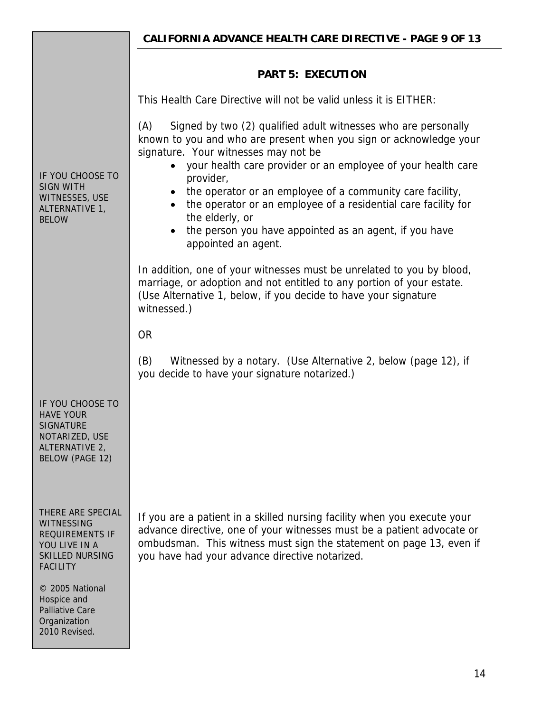## **CALIFORNIA ADVANCE HEALTH CARE DIRECTIVE - PAGE 9 OF 13**

۳

|                                                                                                                                | <b>PART 5: EXECUTION</b>                                                                                                                                                                                                                                                                                                                                                                                                                                                                            |  |  |
|--------------------------------------------------------------------------------------------------------------------------------|-----------------------------------------------------------------------------------------------------------------------------------------------------------------------------------------------------------------------------------------------------------------------------------------------------------------------------------------------------------------------------------------------------------------------------------------------------------------------------------------------------|--|--|
|                                                                                                                                | This Health Care Directive will not be valid unless it is EITHER:                                                                                                                                                                                                                                                                                                                                                                                                                                   |  |  |
| IF YOU CHOOSE TO<br><b>SIGN WITH</b><br>WITNESSES, USE<br>ALTERNATIVE 1,<br><b>BELOW</b>                                       | (A)<br>Signed by two (2) qualified adult witnesses who are personally<br>known to you and who are present when you sign or acknowledge your<br>signature. Your witnesses may not be<br>your health care provider or an employee of your health care<br>provider,<br>the operator or an employee of a community care facility,<br>the operator or an employee of a residential care facility for<br>the elderly, or<br>the person you have appointed as an agent, if you have<br>appointed an agent. |  |  |
|                                                                                                                                | In addition, one of your witnesses must be unrelated to you by blood,<br>marriage, or adoption and not entitled to any portion of your estate.<br>(Use Alternative 1, below, if you decide to have your signature<br>witnessed.)                                                                                                                                                                                                                                                                    |  |  |
|                                                                                                                                | <b>OR</b>                                                                                                                                                                                                                                                                                                                                                                                                                                                                                           |  |  |
|                                                                                                                                | (B)<br>Witnessed by a notary. (Use Alternative 2, below (page 12), if<br>you decide to have your signature notarized.)                                                                                                                                                                                                                                                                                                                                                                              |  |  |
| IF YOU CHOOSE TO<br><b>HAVE YOUR</b><br><b>SIGNATURE</b><br>NOTARIZED, USE<br>ALTERNATIVE 2,<br>BELOW (PAGE 12)                |                                                                                                                                                                                                                                                                                                                                                                                                                                                                                                     |  |  |
| THERE ARE SPECIAL<br><b>WITNESSING</b><br><b>REQUIREMENTS IF</b><br>YOU LIVE IN A<br><b>SKILLED NURSING</b><br><b>FACILITY</b> | If you are a patient in a skilled nursing facility when you execute your<br>advance directive, one of your witnesses must be a patient advocate or<br>ombudsman. This witness must sign the statement on page 13, even if<br>you have had your advance directive notarized.                                                                                                                                                                                                                         |  |  |
| © 2005 National<br>Hospice and<br><b>Palliative Care</b><br>Organization<br>2010 Revised.                                      |                                                                                                                                                                                                                                                                                                                                                                                                                                                                                                     |  |  |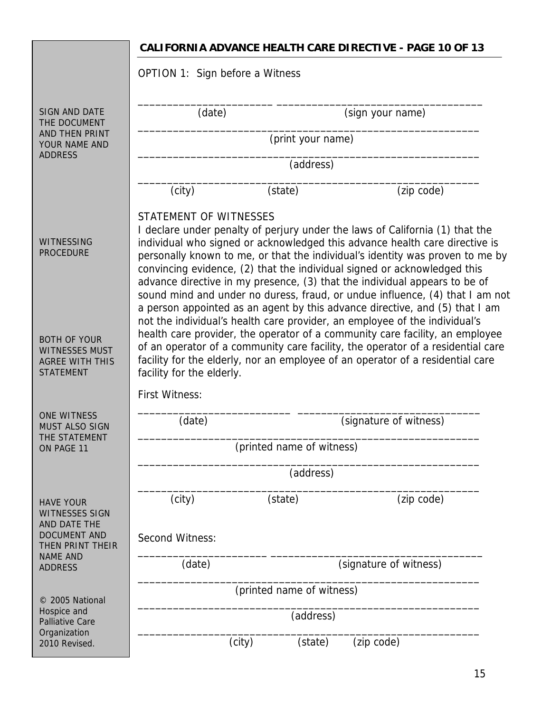|                                                                                            |                                                                                                                                                                                                                                                                                                                                                                                       |                   | <b>CALIFORNIA ADVANCE HEALTH CARE DIRECTIVE - PAGE 10 OF 13</b>                                                                                                                                                                                                                                                                                                                                                                                                                                                                                                       |  |
|--------------------------------------------------------------------------------------------|---------------------------------------------------------------------------------------------------------------------------------------------------------------------------------------------------------------------------------------------------------------------------------------------------------------------------------------------------------------------------------------|-------------------|-----------------------------------------------------------------------------------------------------------------------------------------------------------------------------------------------------------------------------------------------------------------------------------------------------------------------------------------------------------------------------------------------------------------------------------------------------------------------------------------------------------------------------------------------------------------------|--|
|                                                                                            | OPTION 1: Sign before a Witness                                                                                                                                                                                                                                                                                                                                                       |                   |                                                                                                                                                                                                                                                                                                                                                                                                                                                                                                                                                                       |  |
| <b>SIGN AND DATE</b><br>THE DOCUMENT                                                       | (date)                                                                                                                                                                                                                                                                                                                                                                                |                   | (sign your name)                                                                                                                                                                                                                                                                                                                                                                                                                                                                                                                                                      |  |
| AND THEN PRINT<br>YOUR NAME AND                                                            | (print your name)                                                                                                                                                                                                                                                                                                                                                                     |                   |                                                                                                                                                                                                                                                                                                                                                                                                                                                                                                                                                                       |  |
| <b>ADDRESS</b>                                                                             | (address)                                                                                                                                                                                                                                                                                                                                                                             |                   |                                                                                                                                                                                                                                                                                                                                                                                                                                                                                                                                                                       |  |
|                                                                                            | (city)                                                                                                                                                                                                                                                                                                                                                                                | (state)           | (zip code)                                                                                                                                                                                                                                                                                                                                                                                                                                                                                                                                                            |  |
| <b>WITNESSING</b><br><b>PROCEDURE</b>                                                      | STATEMENT OF WITNESSES                                                                                                                                                                                                                                                                                                                                                                |                   | I declare under penalty of perjury under the laws of California (1) that the<br>individual who signed or acknowledged this advance health care directive is<br>personally known to me, or that the individual's identity was proven to me by<br>convincing evidence, (2) that the individual signed or acknowledged this<br>advance directive in my presence, (3) that the individual appears to be of<br>sound mind and under no duress, fraud, or undue influence, (4) that I am not<br>a person appointed as an agent by this advance directive, and (5) that I am |  |
| <b>BOTH OF YOUR</b><br><b>WITNESSES MUST</b><br><b>AGREE WITH THIS</b><br><b>STATEMENT</b> | not the individual's health care provider, an employee of the individual's<br>health care provider, the operator of a community care facility, an employee<br>of an operator of a community care facility, the operator of a residential care<br>facility for the elderly, nor an employee of an operator of a residential care<br>facility for the elderly.<br><b>First Witness:</b> |                   |                                                                                                                                                                                                                                                                                                                                                                                                                                                                                                                                                                       |  |
| <b>ONE WITNESS</b><br><b>MUST ALSO SIGN</b>                                                | (date)                                                                                                                                                                                                                                                                                                                                                                                |                   | (signature of witness)                                                                                                                                                                                                                                                                                                                                                                                                                                                                                                                                                |  |
| THE STATEMENT<br>ON PAGE 11                                                                | (printed name of witness)                                                                                                                                                                                                                                                                                                                                                             |                   |                                                                                                                                                                                                                                                                                                                                                                                                                                                                                                                                                                       |  |
|                                                                                            | (address)                                                                                                                                                                                                                                                                                                                                                                             |                   |                                                                                                                                                                                                                                                                                                                                                                                                                                                                                                                                                                       |  |
| <b>HAVE YOUR</b><br><b>WITNESSES SIGN</b>                                                  | (city)                                                                                                                                                                                                                                                                                                                                                                                | (state)           | (zip code)                                                                                                                                                                                                                                                                                                                                                                                                                                                                                                                                                            |  |
| AND DATE THE<br><b>DOCUMENT AND</b><br>THEN PRINT THEIR                                    | Second Witness:                                                                                                                                                                                                                                                                                                                                                                       |                   |                                                                                                                                                                                                                                                                                                                                                                                                                                                                                                                                                                       |  |
| <b>NAME AND</b><br><b>ADDRESS</b>                                                          | (date)                                                                                                                                                                                                                                                                                                                                                                                |                   | (signature of witness)                                                                                                                                                                                                                                                                                                                                                                                                                                                                                                                                                |  |
| © 2005 National                                                                            | (printed name of witness)                                                                                                                                                                                                                                                                                                                                                             |                   |                                                                                                                                                                                                                                                                                                                                                                                                                                                                                                                                                                       |  |
| Hospice and<br><b>Palliative Care</b>                                                      |                                                                                                                                                                                                                                                                                                                                                                                       | (address)         |                                                                                                                                                                                                                                                                                                                                                                                                                                                                                                                                                                       |  |
| Organization<br>2010 Revised.                                                              |                                                                                                                                                                                                                                                                                                                                                                                       | (city)<br>(state) | (zip code)                                                                                                                                                                                                                                                                                                                                                                                                                                                                                                                                                            |  |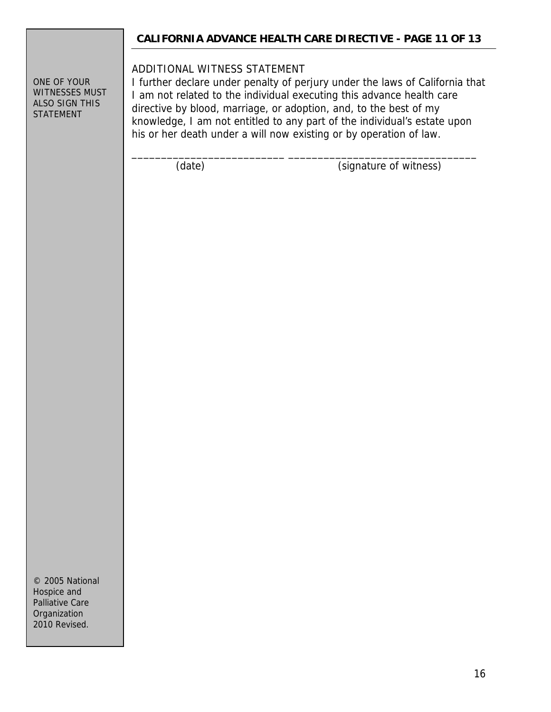ONE OF YOUR WITNESSES MUST ALSO SIGN THIS **STATEMENT** 

ADDITIONAL WITNESS STATEMENT

I further declare under penalty of perjury under the laws of California that I am not related to the individual executing this advance health care directive by blood, marriage, or adoption, and, to the best of my knowledge, I am not entitled to any part of the individual's estate upon his or her death under a will now existing or by operation of law.

\_\_\_\_\_\_\_\_\_\_\_\_\_\_\_\_\_\_\_\_\_\_\_\_\_\_ \_\_\_\_\_\_\_\_\_\_\_\_\_\_\_\_\_\_\_\_\_\_\_\_\_\_\_\_\_\_\_\_

(date) (date) (signature of witness)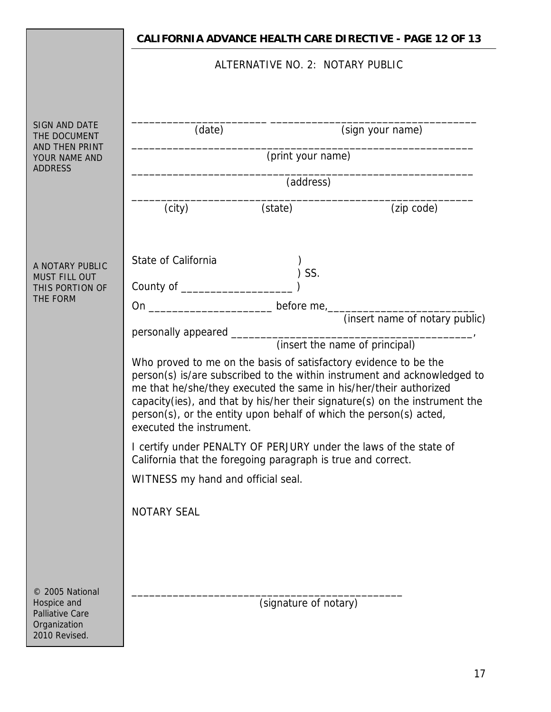|                                                                                           |                                                                                                                                                                                                                                                                                                                                                                                                    |                       | <b>CALIFORNIA ADVANCE HEALTH CARE DIRECTIVE - PAGE 12 OF 13</b> |  |
|-------------------------------------------------------------------------------------------|----------------------------------------------------------------------------------------------------------------------------------------------------------------------------------------------------------------------------------------------------------------------------------------------------------------------------------------------------------------------------------------------------|-----------------------|-----------------------------------------------------------------|--|
|                                                                                           | ALTERNATIVE NO. 2: NOTARY PUBLIC                                                                                                                                                                                                                                                                                                                                                                   |                       |                                                                 |  |
|                                                                                           |                                                                                                                                                                                                                                                                                                                                                                                                    |                       |                                                                 |  |
| <b>SIGN AND DATE</b><br>THE DOCUMENT<br>AND THEN PRINT<br>YOUR NAME AND<br><b>ADDRESS</b> | (date)                                                                                                                                                                                                                                                                                                                                                                                             |                       | (sign your name)                                                |  |
|                                                                                           | (print your name)                                                                                                                                                                                                                                                                                                                                                                                  |                       |                                                                 |  |
|                                                                                           | (address)                                                                                                                                                                                                                                                                                                                                                                                          |                       |                                                                 |  |
|                                                                                           | (city)                                                                                                                                                                                                                                                                                                                                                                                             | (state)               | (zip code)                                                      |  |
|                                                                                           |                                                                                                                                                                                                                                                                                                                                                                                                    |                       |                                                                 |  |
| A NOTARY PUBLIC                                                                           | State of California                                                                                                                                                                                                                                                                                                                                                                                | $)$ SS.               |                                                                 |  |
| <b>MUST FILL OUT</b><br>THIS PORTION OF<br>THE FORM                                       | County of _____________________                                                                                                                                                                                                                                                                                                                                                                    |                       |                                                                 |  |
|                                                                                           |                                                                                                                                                                                                                                                                                                                                                                                                    |                       | (insert name of notary public)                                  |  |
|                                                                                           | personally appeared ________                                                                                                                                                                                                                                                                                                                                                                       |                       |                                                                 |  |
|                                                                                           | (insert the name of principal)                                                                                                                                                                                                                                                                                                                                                                     |                       |                                                                 |  |
|                                                                                           | Who proved to me on the basis of satisfactory evidence to be the<br>person(s) is/are subscribed to the within instrument and acknowledged to<br>me that he/she/they executed the same in his/her/their authorized<br>capacity(ies), and that by his/her their signature(s) on the instrument the<br>person(s), or the entity upon behalf of which the person(s) acted,<br>executed the instrument. |                       |                                                                 |  |
|                                                                                           | I certify under PENALTY OF PERJURY under the laws of the state of<br>California that the foregoing paragraph is true and correct.                                                                                                                                                                                                                                                                  |                       |                                                                 |  |
|                                                                                           | WITNESS my hand and official seal.                                                                                                                                                                                                                                                                                                                                                                 |                       |                                                                 |  |
|                                                                                           | <b>NOTARY SEAL</b>                                                                                                                                                                                                                                                                                                                                                                                 |                       |                                                                 |  |
|                                                                                           |                                                                                                                                                                                                                                                                                                                                                                                                    |                       |                                                                 |  |
|                                                                                           |                                                                                                                                                                                                                                                                                                                                                                                                    |                       |                                                                 |  |
| © 2005 National                                                                           |                                                                                                                                                                                                                                                                                                                                                                                                    |                       |                                                                 |  |
| Hospice and<br><b>Palliative Care</b><br>Organization<br>2010 Revised.                    |                                                                                                                                                                                                                                                                                                                                                                                                    | (signature of notary) |                                                                 |  |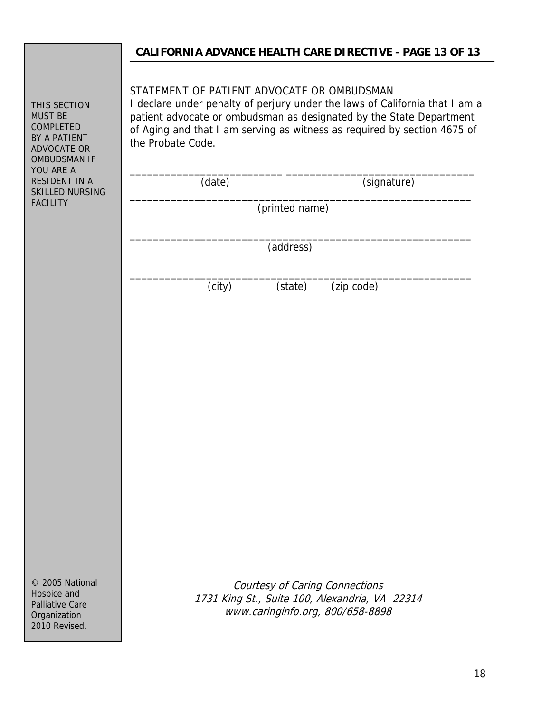|                                                                                                                                                                         |                                                                                                                                                                                                                                                                                                   | <b>CALIFORNIA ADVANCE HEALTH CARE DIRECTIVE - PAGE 13 OF 13</b>                                                      |  |  |
|-------------------------------------------------------------------------------------------------------------------------------------------------------------------------|---------------------------------------------------------------------------------------------------------------------------------------------------------------------------------------------------------------------------------------------------------------------------------------------------|----------------------------------------------------------------------------------------------------------------------|--|--|
| THIS SECTION<br><b>MUST BE</b><br><b>COMPLETED</b><br>BY A PATIENT<br>ADVOCATE OR<br><b>OMBUDSMAN IF</b><br>YOU ARE A<br><b>RESIDENT IN A</b><br><b>SKILLED NURSING</b> | STATEMENT OF PATIENT ADVOCATE OR OMBUDSMAN<br>I declare under penalty of perjury under the laws of California that I am a<br>patient advocate or ombudsman as designated by the State Department<br>of Aging and that I am serving as witness as required by section 4675 of<br>the Probate Code. |                                                                                                                      |  |  |
|                                                                                                                                                                         | (date)                                                                                                                                                                                                                                                                                            | (signature)                                                                                                          |  |  |
| <b>FACILITY</b>                                                                                                                                                         | (printed name)                                                                                                                                                                                                                                                                                    |                                                                                                                      |  |  |
|                                                                                                                                                                         |                                                                                                                                                                                                                                                                                                   | (address)                                                                                                            |  |  |
|                                                                                                                                                                         | (city)                                                                                                                                                                                                                                                                                            | (zip code)<br>(state)                                                                                                |  |  |
|                                                                                                                                                                         |                                                                                                                                                                                                                                                                                                   |                                                                                                                      |  |  |
|                                                                                                                                                                         |                                                                                                                                                                                                                                                                                                   |                                                                                                                      |  |  |
|                                                                                                                                                                         |                                                                                                                                                                                                                                                                                                   |                                                                                                                      |  |  |
|                                                                                                                                                                         |                                                                                                                                                                                                                                                                                                   |                                                                                                                      |  |  |
|                                                                                                                                                                         |                                                                                                                                                                                                                                                                                                   |                                                                                                                      |  |  |
|                                                                                                                                                                         |                                                                                                                                                                                                                                                                                                   |                                                                                                                      |  |  |
| © 2005 National<br>Hospice and<br><b>Palliative Care</b><br>Organization<br>2010 Revised.                                                                               |                                                                                                                                                                                                                                                                                                   | Courtesy of Caring Connections<br>1731 King St., Suite 100, Alexandria, VA 22314<br>www.caringinfo.org, 800/658-8898 |  |  |